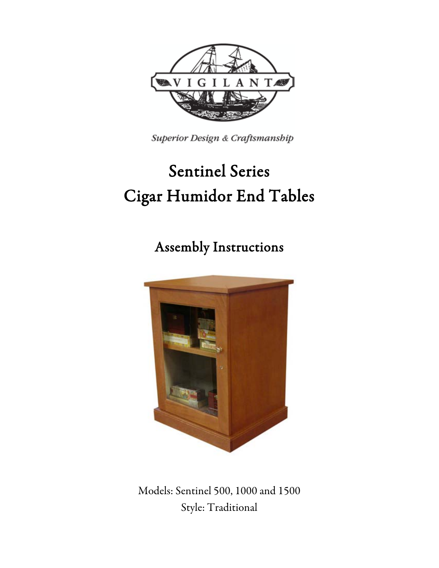

Superior Design & Craftsmanship

# Sentinel Series Cigar Humidor End Tables

Assembly Instructions



Models: Sentinel 500, 1000 and 1500 Style: Traditional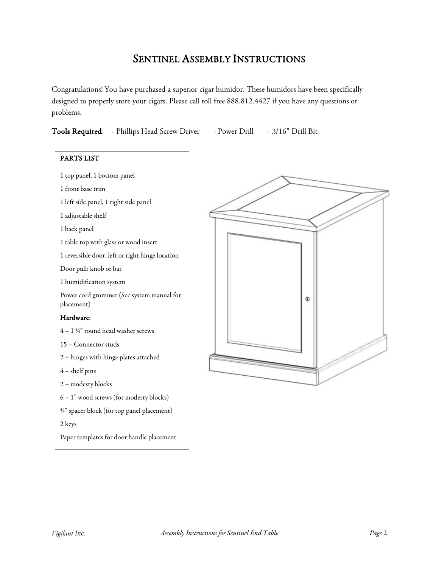## SENTINEL ASSEMBLY INSTRUCTIONS

Congratulations! You have purchased a superior cigar humidor. These humidors have been specifically designed to properly store your cigars. Please call toll free 888.812.4427 if you have any questions or problems.

| Tools Required:<br>- Phillips Head Screw Driver<br>- Power Drill | - 3/16" Drill Bit |
|------------------------------------------------------------------|-------------------|
|------------------------------------------------------------------|-------------------|



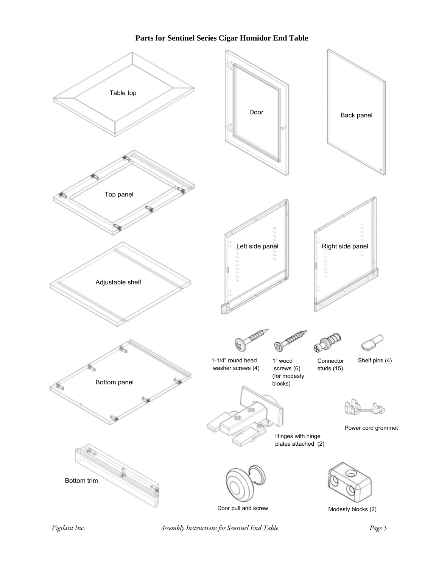#### **Parts for Sentinel Series Cigar Humidor End Table**



*Vigilant Inc. Assembly Instructions for Sentinel End Table Page* 3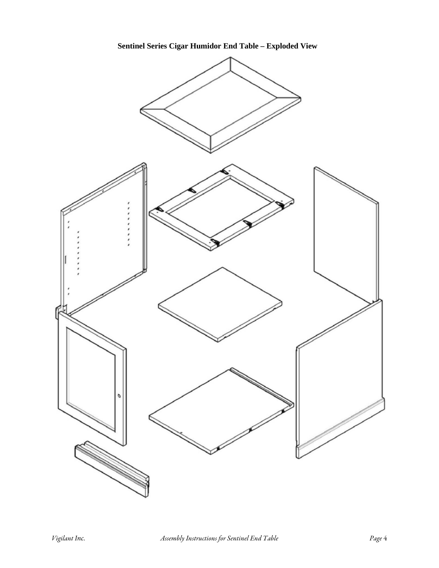**Sentinel Series Cigar Humidor End Table – Exploded View**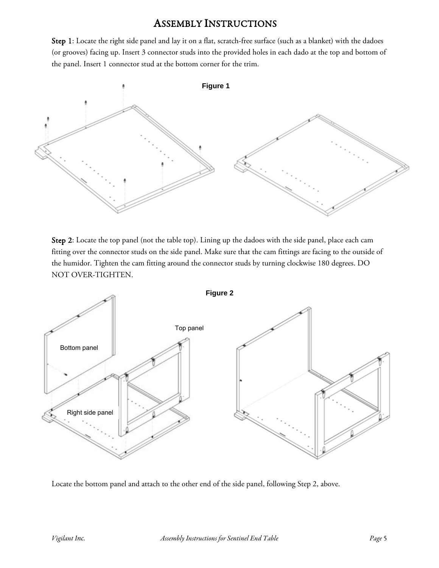### ASSEMBLY INSTRUCTIONS

Step 1: Locate the right side panel and lay it on a flat, scratch-free surface (such as a blanket) with the dadoes (or grooves) facing up. Insert 3 connector studs into the provided holes in each dado at the top and bottom of the panel. Insert 1 connector stud at the bottom corner for the trim.



Step 2: Locate the top panel (not the table top). Lining up the dadoes with the side panel, place each cam fitting over the connector studs on the side panel. Make sure that the cam fittings are facing to the outside of the humidor. Tighten the cam fitting around the connector studs by turning clockwise 180 degrees. DO NOT OVER-TIGHTEN.



Locate the bottom panel and attach to the other end of the side panel, following Step 2, above.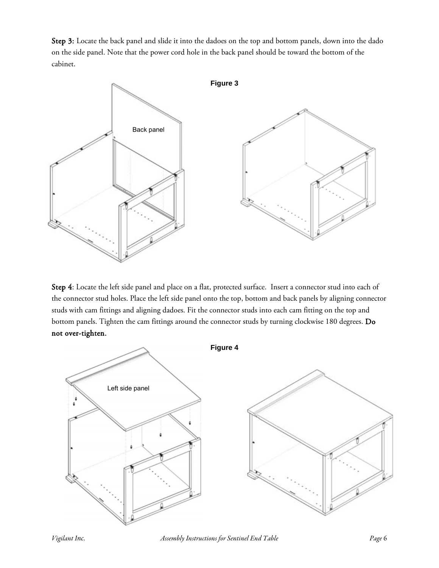Step 3: Locate the back panel and slide it into the dadoes on the top and bottom panels, down into the dado on the side panel. Note that the power cord hole in the back panel should be toward the bottom of the cabinet.



Step 4: Locate the left side panel and place on a flat, protected surface. Insert a connector stud into each of the connector stud holes. Place the left side panel onto the top, bottom and back panels by aligning connector studs with cam fittings and aligning dadoes. Fit the connector studs into each cam fitting on the top and bottom panels. Tighten the cam fittings around the connector studs by turning clockwise 180 degrees. Do not over-tighten.



*Vigilant Inc. Assembly Instructions for Sentinel End Table Page* 6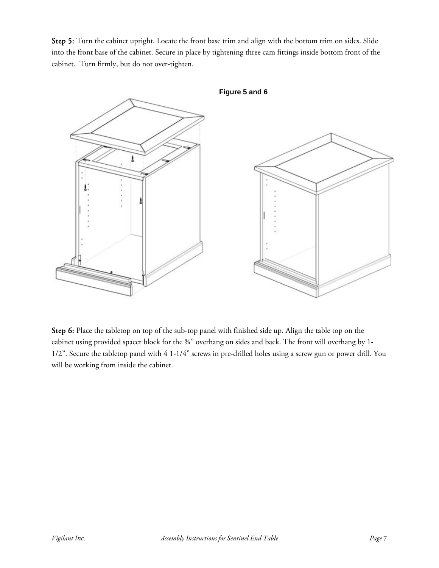Step 5: Turn the cabinet upright. Locate the front base trim and align with the bottom trim on sides. Slide into the front base of the cabinet. Secure in place by tightening three cam fittings inside bottom front of the cabinet. Turn firmly, but do not over-tighten.



Step 6: Place the tabletop on top of the sub-top panel with finished side up. Align the table top on the cabinet using provided spacer block for the ¾" overhang on sides and back. The front will overhang by 1- 1/2". Secure the tabletop panel with 4 1-1/4" screws in pre-drilled holes using a screw gun or power drill. You will be working from inside the cabinet.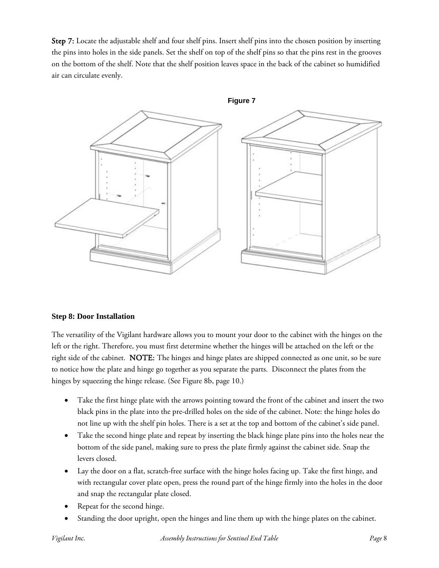Step 7: Locate the adjustable shelf and four shelf pins. Insert shelf pins into the chosen position by inserting the pins into holes in the side panels. Set the shelf on top of the shelf pins so that the pins rest in the grooves on the bottom of the shelf. Note that the shelf position leaves space in the back of the cabinet so humidified air can circulate evenly.



#### **Step 8: Door Installation**

The versatility of the Vigilant hardware allows you to mount your door to the cabinet with the hinges on the left or the right. Therefore, you must first determine whether the hinges will be attached on the left or the right side of the cabinet. NOTE: The hinges and hinge plates are shipped connected as one unit, so be sure to notice how the plate and hinge go together as you separate the parts. Disconnect the plates from the hinges by squeezing the hinge release. (See Figure 8b, page 10.)

- Take the first hinge plate with the arrows pointing toward the front of the cabinet and insert the two black pins in the plate into the pre-drilled holes on the side of the cabinet. Note: the hinge holes do not line up with the shelf pin holes. There is a set at the top and bottom of the cabinet's side panel.
- Take the second hinge plate and repeat by inserting the black hinge plate pins into the holes near the bottom of the side panel, making sure to press the plate firmly against the cabinet side. Snap the levers closed.
- Lay the door on a flat, scratch-free surface with the hinge holes facing up. Take the first hinge, and with rectangular cover plate open, press the round part of the hinge firmly into the holes in the door and snap the rectangular plate closed.
- Repeat for the second hinge.
- Standing the door upright, open the hinges and line them up with the hinge plates on the cabinet.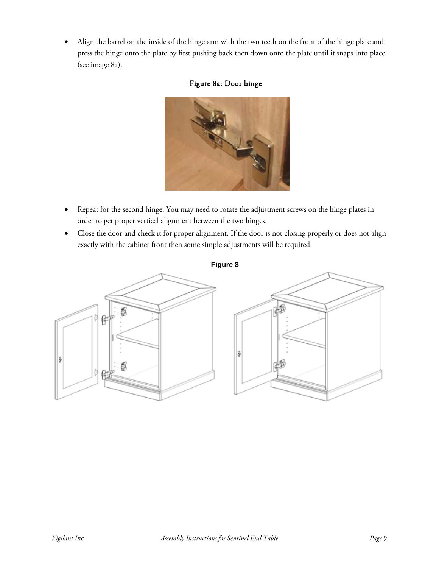• Align the barrel on the inside of the hinge arm with the two teeth on the front of the hinge plate and press the hinge onto the plate by first pushing back then down onto the plate until it snaps into place (see image 8a).

#### Figure 8a: Door hinge



- Repeat for the second hinge. You may need to rotate the adjustment screws on the hinge plates in order to get proper vertical alignment between the two hinges.
- Close the door and check it for proper alignment. If the door is not closing properly or does not align exactly with the cabinet front then some simple adjustments will be required.

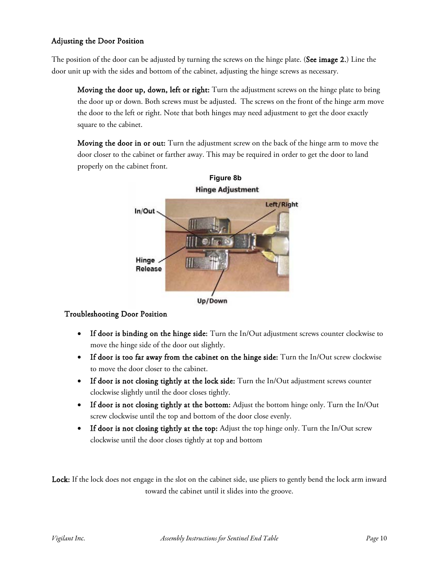#### Adjusting the Door Position

The position of the door can be adjusted by turning the screws on the hinge plate. (See image 2.) Line the door unit up with the sides and bottom of the cabinet, adjusting the hinge screws as necessary.

Moving the door up, down, left or right: Turn the adjustment screws on the hinge plate to bring the door up or down. Both screws must be adjusted. The screws on the front of the hinge arm move the door to the left or right. Note that both hinges may need adjustment to get the door exactly square to the cabinet.

Moving the door in or out: Turn the adjustment screw on the back of the hinge arm to move the door closer to the cabinet or farther away. This may be required in order to get the door to land properly on the cabinet front.





#### Troubleshooting Door Position

- If door is binding on the hinge side: Turn the In/Out adjustment screws counter clockwise to move the hinge side of the door out slightly.
- If door is too far away from the cabinet on the hinge side: Turn the In/Out screw clockwise to move the door closer to the cabinet.
- If door is not closing tightly at the lock side: Turn the In/Out adjustment screws counter clockwise slightly until the door closes tightly.
- If door is not closing tightly at the bottom: Adjust the bottom hinge only. Turn the In/Out screw clockwise until the top and bottom of the door close evenly.
- If door is not closing tightly at the top: Adjust the top hinge only. Turn the In/Out screw clockwise until the door closes tightly at top and bottom

Lock: If the lock does not engage in the slot on the cabinet side, use pliers to gently bend the lock arm inward toward the cabinet until it slides into the groove.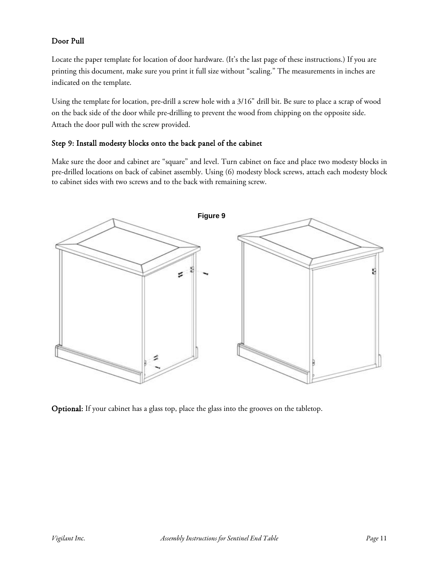#### Door Pull

Locate the paper template for location of door hardware. (It's the last page of these instructions.) If you are printing this document, make sure you print it full size without "scaling." The measurements in inches are indicated on the template.

Using the template for location, pre-drill a screw hole with a 3/16" drill bit. Be sure to place a scrap of wood on the back side of the door while pre-drilling to prevent the wood from chipping on the opposite side. Attach the door pull with the screw provided.

#### Step 9: Install modesty blocks onto the back panel of the cabinet

Make sure the door and cabinet are "square" and level. Turn cabinet on face and place two modesty blocks in pre-drilled locations on back of cabinet assembly. Using (6) modesty block screws, attach each modesty block to cabinet sides with two screws and to the back with remaining screw.



Optional: If your cabinet has a glass top, place the glass into the grooves on the tabletop.